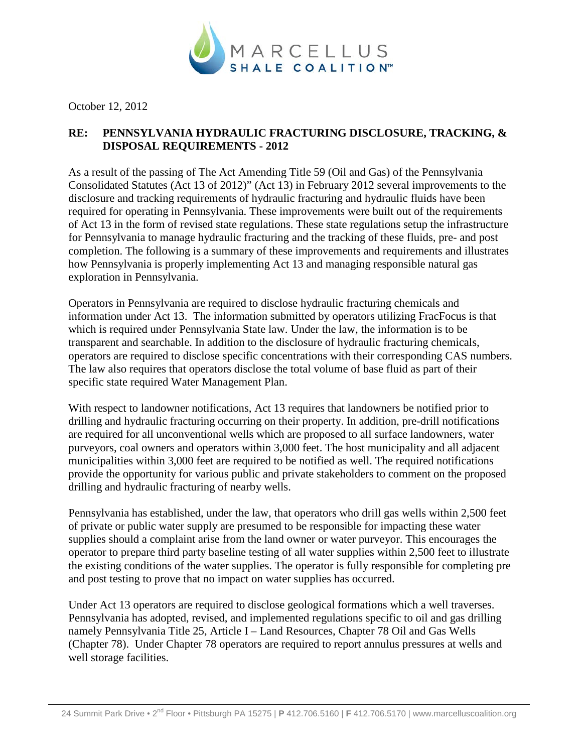

October 12, 2012

## **RE: PENNSYLVANIA HYDRAULIC FRACTURING DISCLOSURE, TRACKING, & DISPOSAL REQUIREMENTS - 2012**

As a result of the passing of The Act Amending Title 59 (Oil and Gas) of the Pennsylvania Consolidated Statutes (Act 13 of 2012)" (Act 13) in February 2012 several improvements to the disclosure and tracking requirements of hydraulic fracturing and hydraulic fluids have been required for operating in Pennsylvania. These improvements were built out of the requirements of Act 13 in the form of revised state regulations. These state regulations setup the infrastructure for Pennsylvania to manage hydraulic fracturing and the tracking of these fluids, pre- and post completion. The following is a summary of these improvements and requirements and illustrates how Pennsylvania is properly implementing Act 13 and managing responsible natural gas exploration in Pennsylvania.

Operators in Pennsylvania are required to disclose hydraulic fracturing chemicals and information under Act 13. The information submitted by operators utilizing FracFocus is that which is required under Pennsylvania State law. Under the law, the information is to be transparent and searchable. In addition to the disclosure of hydraulic fracturing chemicals, operators are required to disclose specific concentrations with their corresponding CAS numbers. The law also requires that operators disclose the total volume of base fluid as part of their specific state required Water Management Plan.

With respect to landowner notifications, Act 13 requires that landowners be notified prior to drilling and hydraulic fracturing occurring on their property. In addition, pre-drill notifications are required for all unconventional wells which are proposed to all surface landowners, water purveyors, coal owners and operators within 3,000 feet. The host municipality and all adjacent municipalities within 3,000 feet are required to be notified as well. The required notifications provide the opportunity for various public and private stakeholders to comment on the proposed drilling and hydraulic fracturing of nearby wells.

Pennsylvania has established, under the law, that operators who drill gas wells within 2,500 feet of private or public water supply are presumed to be responsible for impacting these water supplies should a complaint arise from the land owner or water purveyor. This encourages the operator to prepare third party baseline testing of all water supplies within 2,500 feet to illustrate the existing conditions of the water supplies. The operator is fully responsible for completing pre and post testing to prove that no impact on water supplies has occurred.

Under Act 13 operators are required to disclose geological formations which a well traverses. Pennsylvania has adopted, revised, and implemented regulations specific to oil and gas drilling namely Pennsylvania Title 25, Article I – Land Resources, Chapter 78 Oil and Gas Wells (Chapter 78). Under Chapter 78 operators are required to report annulus pressures at wells and well storage facilities.